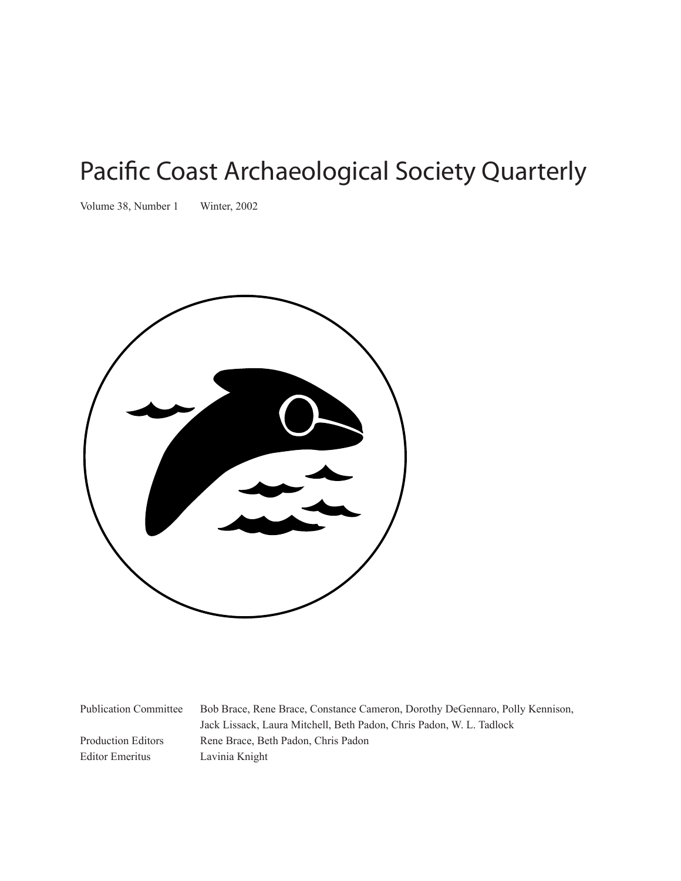# Pacific Coast Archaeological Society Quarterly

Volume 38, Number 1 Winter, 2002



Editor Emeritus Lavinia Knight

Publication Committee Bob Brace, Rene Brace, Constance Cameron, Dorothy DeGennaro, Polly Kennison, Jack Lissack, Laura Mitchell, Beth Padon, Chris Padon, W. L. Tadlock Production Editors Rene Brace, Beth Padon, Chris Padon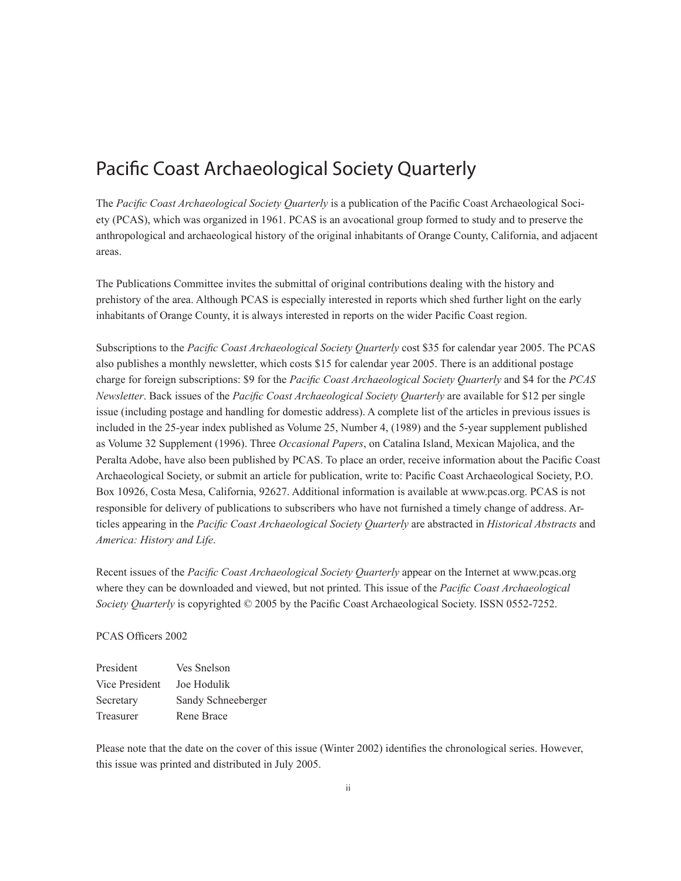### Pacific Coast Archaeological Society Quarterly

The *Pacific Coast Archaeological Society Quarterly* is a publication of the Pacific Coast Archaeological Society (PCAS), which was organized in 1961. PCAS is an avocational group formed to study and to preserve the anthropological and archaeological history of the original inhabitants of Orange County, California, and adjacent areas.

The Publications Committee invites the submittal of original contributions dealing with the history and prehistory of the area. Although PCAS is especially interested in reports which shed further light on the early inhabitants of Orange County, it is always interested in reports on the wider Pacific Coast region.

Subscriptions to the *Pacific Coast Archaeological Society Quarterly* cost \$35 for calendar year 2005. The PCAS also publishes a monthly newsletter, which costs \$15 for calendar year 2005. There is an additional postage charge for foreign subscriptions: \$9 for the *Pacific Coast Archaeological Society Quarterly* and \$4 for the *PCAS Newsletter*. Back issues of the *Pacific Coast Archaeological Society Quarterly* are available for \$12 per single issue (including postage and handling for domestic address). A complete list of the articles in previous issues is included in the 25-year index published as Volume 25, Number 4, (1989) and the 5-year supplement published as Volume 32 Supplement (1996). Three *Occasional Papers*, on Catalina Island, Mexican Majolica, and the Peralta Adobe, have also been published by PCAS. To place an order, receive information about the Pacific Coast Archaeological Society, or submit an article for publication, write to: Pacific Coast Archaeological Society, P.O. Box 10926, Costa Mesa, California, 92627. Additional information is available at www.pcas.org. PCAS is not responsible for delivery of publications to subscribers who have not furnished a timely change of address. Articles appearing in the *Pacific Coast Archaeological Society Quarterly* are abstracted in *Historical Abstracts* and *America: History and Life*.

Recent issues of the *Pacific Coast Archaeological Society Quarterly* appear on the Internet at www.pcas.org where they can be downloaded and viewed, but not printed. This issue of the *Pacific Coast Archaeological Society Quarterly* is copyrighted © 2005 by the Pacific Coast Archaeological Society. ISSN 0552-7252.

#### PCAS Officers 2002

| President      | Ves Snelson        |
|----------------|--------------------|
| Vice President | Joe Hodulik        |
| Secretary      | Sandy Schneeberger |
| Treasurer      | Rene Brace         |

Please note that the date on the cover of this issue (Winter 2002) identifies the chronological series. However, this issue was printed and distributed in July 2005.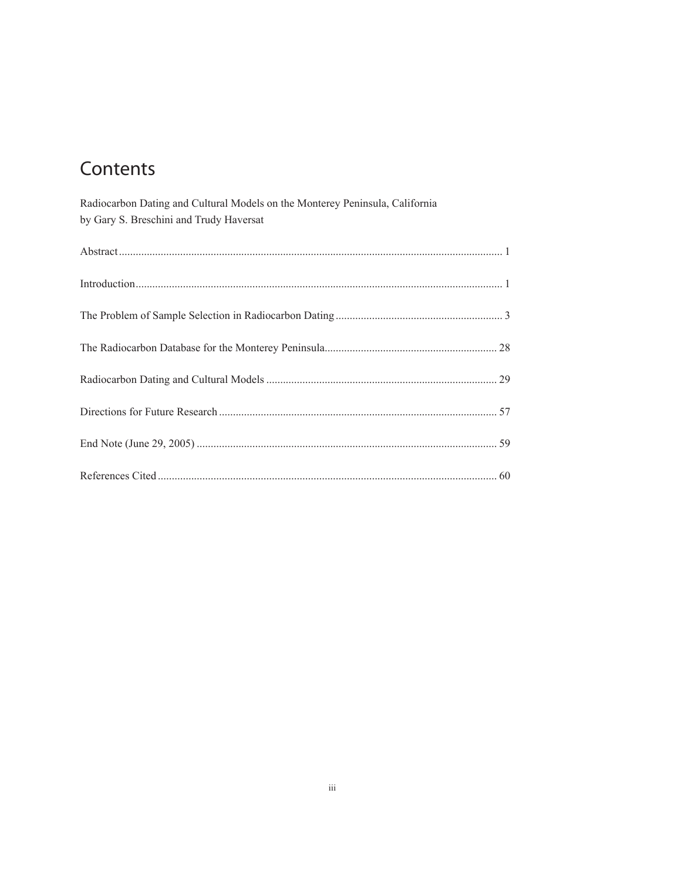# Contents

| Radiocarbon Dating and Cultural Models on the Monterey Peninsula, California<br>by Gary S. Breschini and Trudy Haversat |  |
|-------------------------------------------------------------------------------------------------------------------------|--|
|                                                                                                                         |  |
|                                                                                                                         |  |
|                                                                                                                         |  |
|                                                                                                                         |  |
|                                                                                                                         |  |
|                                                                                                                         |  |
|                                                                                                                         |  |
|                                                                                                                         |  |